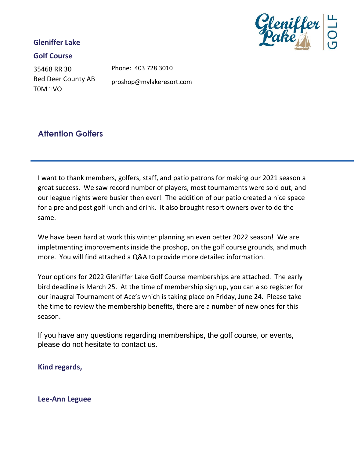### **Gleniffer Lake**



35468 RR 30 Red Deer County AB T0M 1VO

Phone: 403 728 3010 proshop@mylakeresort.com

## **Attention Golfers**

I want to thank members, golfers, staff, and patio patrons for making our 2021 season a great success. We saw record number of players, most tournaments were sold out, and our league nights were busier then ever! The addition of our patio created a nice space for a pre and post golf lunch and drink. It also brought resort owners over to do the same.

We have been hard at work this winter planning an even better 2022 season! We are impletmenting improvements inside the proshop, on the golf course grounds, and much more. You will find attached a Q&A to provide more detailed information.

Your options for 2022 Gleniffer Lake Golf Course memberships are attached. The early bird deadline is March 25. At the time of membership sign up, you can also register for our inaugral Tournament of Ace's which is taking place on Friday, June 24. Please take the time to review the membership benefits, there are a number of new ones for this season.

If you have any questions regarding memberships, the golf course, or events, please do not hesitate to contact us.

**Kind regards,** 

**Lee-Ann Leguee**

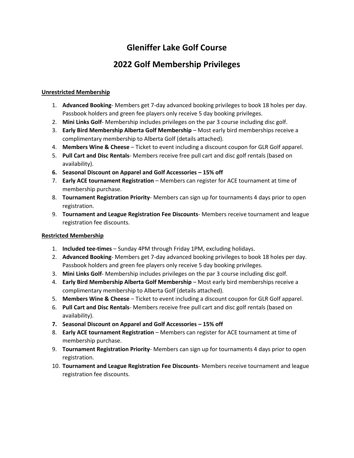## **Gleniffer Lake Golf Course**

## **2022 Golf Membership Privileges**

#### **Unrestricted Membership**

- 1. **Advanced Booking** Members get 7-day advanced booking privileges to book 18 holes per day. Passbook holders and green fee players only receive 5 day booking privileges.
- 2. **Mini Links Golf** Membership includes privileges on the par 3 course including disc golf.
- 3. **Early Bird Membership Alberta Golf Membership** Most early bird memberships receive a complimentary membership to Alberta Golf (details attached).
- 4. **Members Wine & Cheese** Ticket to event including a discount coupon for GLR Golf apparel.
- 5. **Pull Cart and Disc Rentals** Members receive free pull cart and disc golf rentals (based on availability).
- **6.** Seasonal Discount on Apparel and Golf Accessories 15% off
- 7. **Early ACE tournament Registration** Members can register for ACE tournament at time of membership purchase.
- 8. **Tournament Registration Priority** Members can sign up for tournaments 4 days prior to open registration.
- 9. **Tournament and League Registration Fee Discounts** Members receive tournament and league registration fee discounts.

#### **Restricted Membership**

- 1. **Included tee-times** Sunday 4PM through Friday 1PM, excluding holidays.
- 2. **Advanced Booking** Members get 7-day advanced booking privileges to book 18 holes per day. Passbook holders and green fee players only receive 5 day booking privileges.
- 3. **Mini Links Golf** Membership includes privileges on the par 3 course including disc golf.
- 4. **Early Bird Membership Alberta Golf Membership**  Most early bird memberships receive a complimentary membership to Alberta Golf (details attached).
- 5. **Members Wine & Cheese** Ticket to event including a discount coupon for GLR Golf apparel.
- 6. **Pull Cart and Disc Rentals** Members receive free pull cart and disc golf rentals (based on availability).
- **7. Seasonal Discount on Apparel and Golf Accessories – 15% off**
- 8. **Early ACE tournament Registration** Members can register for ACE tournament at time of membership purchase.
- 9. **Tournament Registration Priority** Members can sign up for tournaments 4 days prior to open registration.
- 10. **Tournament and League Registration Fee Discounts** Members receive tournament and league registration fee discounts.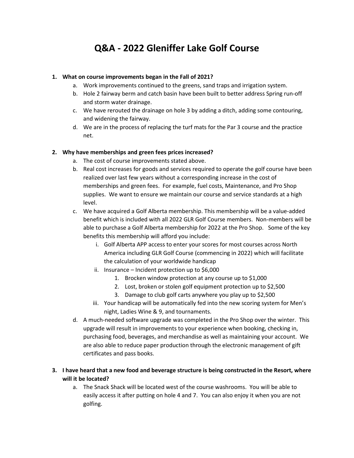## **Q&A - 2022 Gleniffer Lake Golf Course**

#### **1. What on course improvements began in the Fall of 2021?**

- a. Work improvements continued to the greens, sand traps and irrigation system.
- b. Hole 2 fairway berm and catch basin have been built to better address Spring run-off and storm water drainage.
- c. We have rerouted the drainage on hole 3 by adding a ditch, adding some contouring, and widening the fairway.
- d. We are in the process of replacing the turf mats for the Par 3 course and the practice net.

#### **2. Why have memberships and green fees prices increased?**

- a. The cost of course improvements stated above.
- b. Real cost increases for goods and services required to operate the golf course have been realized over last few years without a corresponding increase in the cost of memberships and green fees. For example, fuel costs, Maintenance, and Pro Shop supplies. We want to ensure we maintain our course and service standards at a high level.
- c. We have acquired a Golf Alberta membership. This membership will be a value-added benefit which is included with all 2022 GLR Golf Course members. Non-members will be able to purchase a Golf Alberta membership for 2022 at the Pro Shop. Some of the key benefits this membership will afford you include:
	- i. Golf Alberta APP access to enter your scores for most courses across North America including GLR Golf Course (commencing in 2022) which will facilitate the calculation of your worldwide handicap
	- ii. Insurance Incident protection up to \$6,000
		- 1. Brocken window protection at any course up to \$1,000
		- 2. Lost, broken or stolen golf equipment protection up to \$2,500
		- 3. Damage to club golf carts anywhere you play up to \$2,500
	- iii. Your handicap will be automatically fed into the new scoring system for Men's night, Ladies Wine & 9, and tournaments.
- d. A much-needed software upgrade was completed in the Pro Shop over the winter. This upgrade will result in improvements to your experience when booking, checking in, purchasing food, beverages, and merchandise as well as maintaining your account. We are also able to reduce paper production through the electronic management of gift certificates and pass books.

#### **3. I have heard that a new food and beverage structure is being constructed in the Resort, where will it be located?**

a. The Snack Shack will be located west of the course washrooms. You will be able to easily access it after putting on hole 4 and 7. You can also enjoy it when you are not golfing.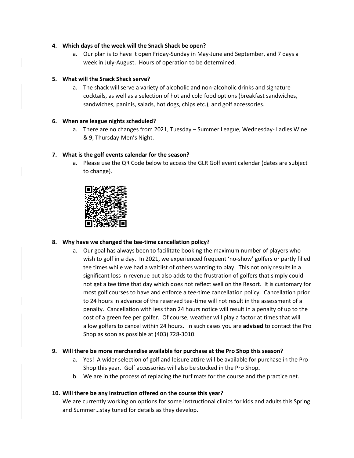#### **4. Which days of the week will the Snack Shack be open?**

a. Our plan is to have it open Friday-Sunday in May-June and September, and 7 days a week in July-August. Hours of operation to be determined.

#### **5. What will the Snack Shack serve?**

a. The shack will serve a variety of alcoholic and non-alcoholic drinks and signature cocktails, as well as a selection of hot and cold food options (breakfast sandwiches, sandwiches, paninis, salads, hot dogs, chips etc.), and golf accessories.

#### **6. When are league nights scheduled?**

a. There are no changes from 2021, Tuesday – Summer League, Wednesday- Ladies Wine & 9, Thursday-Men's Night.

#### **7. What is the golf events calendar for the season?**

a. Please use the QR Code below to access the GLR Golf event calendar (dates are subject to change).



#### **8. Why have we changed the tee-time cancellation policy?**

a. Our goal has always been to facilitate booking the maximum number of players who wish to golf in a day. In 2021, we experienced frequent 'no-show' golfers or partly filled tee times while we had a waitlist of others wanting to play. This not only results in a significant loss in revenue but also adds to the frustration of golfers that simply could not get a tee time that day which does not reflect well on the Resort. It is customary for most golf courses to have and enforce a tee-time cancellation policy. Cancellation prior to 24 hours in advance of the reserved tee-time will not result in the assessment of a penalty. Cancellation with less than 24 hours notice will result in a penalty of up to the cost of a green fee per golfer. Of course, weather will play a factor at times that will allow golfers to cancel within 24 hours. In such cases you are **advised** to contact the Pro Shop as soon as possible at (403) 728-3010.

#### **9. Will there be more merchandise available for purchase at the Pro Shop this season?**

- a. Yes! A wider selection of golf and leisure attire will be available for purchase in the Pro Shop this year. Golf accessories will also be stocked in the Pro Shop**.**
- b. We are in the process of replacing the turf mats for the course and the practice net.

#### **10. Will there be any instruction offered on the course this year?**

We are currently working on options for some instructional clinics for kids and adults this Spring and Summer…stay tuned for details as they develop.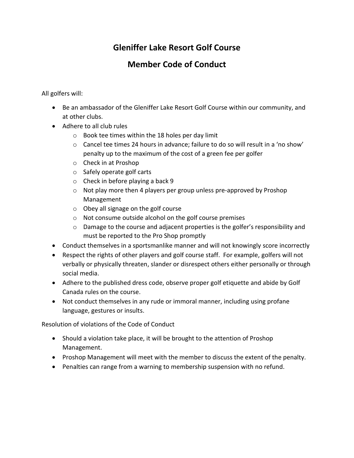## **Gleniffer Lake Resort Golf Course**

## **Member Code of Conduct**

All golfers will:

- Be an ambassador of the Gleniffer Lake Resort Golf Course within our community, and at other clubs.
- Adhere to all club rules
	- o Book tee times within the 18 holes per day limit
	- $\circ$  Cancel tee times 24 hours in advance; failure to do so will result in a 'no show' penalty up to the maximum of the cost of a green fee per golfer
	- o Check in at Proshop
	- o Safely operate golf carts
	- o Check in before playing a back 9
	- o Not play more then 4 players per group unless pre-approved by Proshop Management
	- o Obey all signage on the golf course
	- o Not consume outside alcohol on the golf course premises
	- o Damage to the course and adjacent properties is the golfer's responsibility and must be reported to the Pro Shop promptly
- Conduct themselves in a sportsmanlike manner and will not knowingly score incorrectly
- Respect the rights of other players and golf course staff. For example, golfers will not verbally or physically threaten, slander or disrespect others either personally or through social media.
- Adhere to the published dress code, observe proper golf etiquette and abide by Golf Canada rules on the course.
- Not conduct themselves in any rude or immoral manner, including using profane language, gestures or insults.

Resolution of violations of the Code of Conduct

- Should a violation take place, it will be brought to the attention of Proshop Management.
- Proshop Management will meet with the member to discuss the extent of the penalty.
- Penalties can range from a warning to membership suspension with no refund.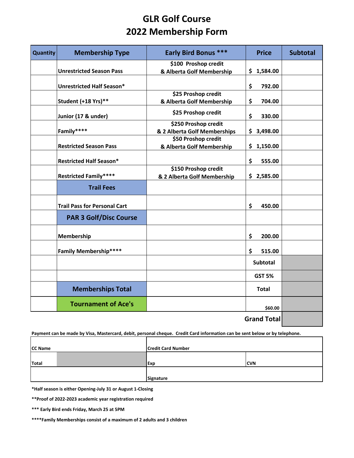## **GLR Golf Course 2022 Membership Form**

| Quantity            | <b>Membership Type</b>              | <b>Early Bird Bonus ***</b>  | <b>Price</b>       | <b>Subtotal</b> |
|---------------------|-------------------------------------|------------------------------|--------------------|-----------------|
|                     |                                     | \$100 Proshop credit         |                    |                 |
|                     | <b>Unrestricted Season Pass</b>     | & Alberta Golf Membership    | \$<br>1,584.00     |                 |
|                     | <b>Unrestricted Half Season*</b>    |                              | \$<br>792.00       |                 |
|                     |                                     | \$25 Proshop credit          |                    |                 |
|                     | Student (+18 Yrs)**                 | & Alberta Golf Membership    | \$<br>704.00       |                 |
| Junior (17 & under) |                                     | \$25 Proshop credit          | \$<br>330.00       |                 |
|                     |                                     | \$250 Proshop credit         |                    |                 |
|                     | Family****                          | & 2 Alberta Golf Memberships | \$3,498.00         |                 |
|                     |                                     | \$50 Proshop credit          |                    |                 |
|                     | <b>Restricted Season Pass</b>       | & Alberta Golf Membership    | \$1,150.00         |                 |
|                     | <b>Restricted Half Season*</b>      |                              | \$<br>555.00       |                 |
|                     |                                     | \$150 Proshop credit         |                    |                 |
|                     | <b>Restricted Family****</b>        | & 2 Alberta Golf Membership  | \$2,585.00         |                 |
|                     | <b>Trail Fees</b>                   |                              |                    |                 |
|                     | <b>Trail Pass for Personal Cart</b> |                              | \$<br>450.00       |                 |
|                     | <b>PAR 3 Golf/Disc Course</b>       |                              |                    |                 |
|                     | Membership                          |                              | \$<br>200.00       |                 |
|                     | <b>Family Membership****</b>        |                              | \$<br>515.00       |                 |
|                     |                                     |                              | <b>Subtotal</b>    |                 |
|                     |                                     |                              | <b>GST 5%</b>      |                 |
|                     | <b>Memberships Total</b>            |                              | <b>Total</b>       |                 |
|                     | <b>Tournament of Ace's</b>          |                              | \$60.00            |                 |
|                     |                                     |                              | <b>Grand Total</b> |                 |

**Payment can be made by Visa, Mastercard, debit, personal cheque. Credit Card information can be sent below or by telephone.** 

| <b>CC Name</b> | <b>Credit Card Number</b> |             |  |
|----------------|---------------------------|-------------|--|
| Total          | <b>Exp</b>                | <b>ICVN</b> |  |
|                | Signature                 |             |  |

**\*Half season is either Opening-July 31 or August 1-Closing**

**\*\*Proof of 2022-2023 academic year registration required**

**\*\*\* Early Bird ends Friday, March 25 at 5PM**

**\*\*\*\*Family Memberships consist of a maximum of 2 adults and 3 children**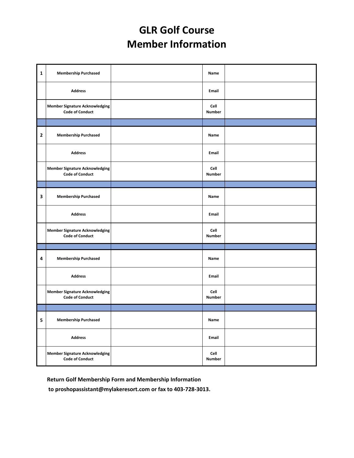# **GLR Golf Course Member Information**

| $\mathbf{1}$ | <b>Membership Purchased</b>                                     | Name                  |  |
|--------------|-----------------------------------------------------------------|-----------------------|--|
|              | <b>Address</b>                                                  | Email                 |  |
|              | <b>Member Signature Acknowledging</b><br><b>Code of Conduct</b> | Cell<br>Number        |  |
|              |                                                                 |                       |  |
| $\mathbf{2}$ | <b>Membership Purchased</b>                                     | Name                  |  |
|              | <b>Address</b>                                                  | Email                 |  |
|              | <b>Member Signature Acknowledging</b><br><b>Code of Conduct</b> | Cell<br><b>Number</b> |  |
|              |                                                                 |                       |  |
| 3            | <b>Membership Purchased</b>                                     | Name                  |  |
|              | <b>Address</b>                                                  | Email                 |  |
|              | <b>Member Signature Acknowledging</b><br><b>Code of Conduct</b> | Cell<br>Number        |  |
|              |                                                                 |                       |  |
| 4            | <b>Membership Purchased</b>                                     | Name                  |  |
|              | <b>Address</b>                                                  | Email                 |  |
|              | <b>Member Signature Acknowledging</b><br><b>Code of Conduct</b> | Cell<br><b>Number</b> |  |
|              |                                                                 |                       |  |
| 5            | <b>Membership Purchased</b>                                     | Name                  |  |
|              | <b>Address</b>                                                  | Email                 |  |
|              | <b>Member Signature Acknowledging</b><br><b>Code of Conduct</b> | Cell<br>Number        |  |

**Return Golf Membership Form and Membership Information**

 **to proshopassistant@mylakeresort.com or fax to 403-728-3013.**